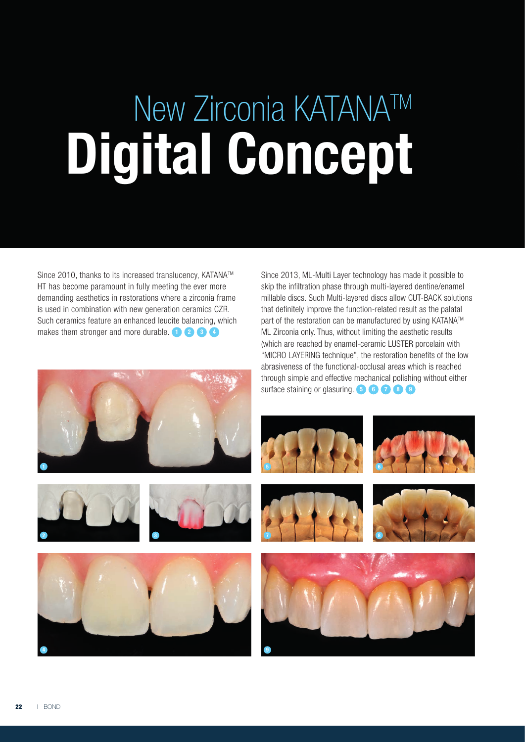## New Zirconia KATANA™ Digital Concept

Since 2010, thanks to its increased translucency, KATANA™ HT has become paramount in fully meeting the ever more demanding aesthetics in restorations where a zirconia frame is used in combination with new generation ceramics CZR. Such ceramics feature an enhanced leucite balancing, which makes them stronger and more durable.  $\bullet \bullet \bullet \bullet$ 

Since 2013, ML-Multi Layer technology has made it possible to skip the infiltration phase through multi-layered dentine/enamel millable discs. Such Multi-layered discs allow CUT-BACK solutions that definitely improve the function-related result as the palatal part of the restoration can be manufactured by using KATANA™ ML Zirconia only. Thus, without limiting the aesthetic results (which are reached by enamel-ceramic LUSTER porcelain with "MICRO LAYERING technique", the restoration benefits of the low abrasiveness of the functional-occlusal areas which is reached through simple and effective mechanical polishing without either surface staining or glasuring. **5 6 7 8 9** 













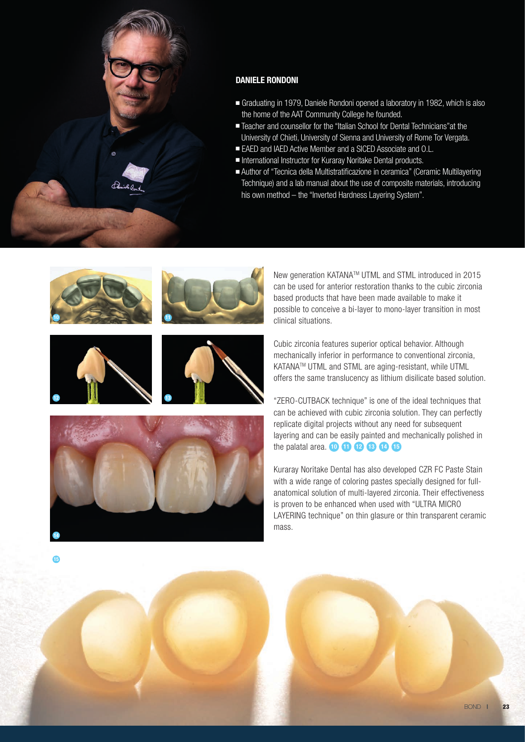

## DANIELE RONDONI

- Graduating in 1979, Daniele Rondoni opened a laboratory in 1982, which is also the home of the AAT Community College he founded.
- Teacher and counsellor for the "Italian School for Dental Technicians" at the University of Chieti, University of Sienna and University of Rome Tor Vergata.
- EAED and IAED Active Member and a SICED Associate and O.L.
- International Instructor for Kuraray Noritake Dental products.
- Author of "Tecnica della Multistratificazione in ceramica" (Ceramic Multilayering Technique) and a lab manual about the use of composite materials, introducing his own method – the "Inverted Hardness Layering System".



13

New generation KATANATM UTML and STML introduced in 2015 can be used for anterior restoration thanks to the cubic zirconia based products that have been made available to make it possible to conceive a bi-layer to mono-layer transition in most clinical situations.

Cubic zirconia features superior optical behavior. Although mechanically inferior in performance to conventional zirconia, KATANA™ UTML and STML are aging-resistant, while UTML offers the same translucency as lithium disilicate based solution.

"ZERO-CUTBACK technique" is one of the ideal techniques that can be achieved with cubic zirconia solution. They can perfectly replicate digital projects without any need for subsequent layering and can be easily painted and mechanically polished in the palatal area. <sup>10</sup> 10 <sup>12</sup> 13 14 15

Kuraray Noritake Dental has also developed CZR FC Paste Stain with a wide range of coloring pastes specially designed for fullanatomical solution of multi-layered zirconia. Their effectiveness is proven to be enhanced when used with "ULTRA MICRO LAYERING technique" on thin glasure or thin transparent ceramic mass.

15

14

12

**BOND | 23**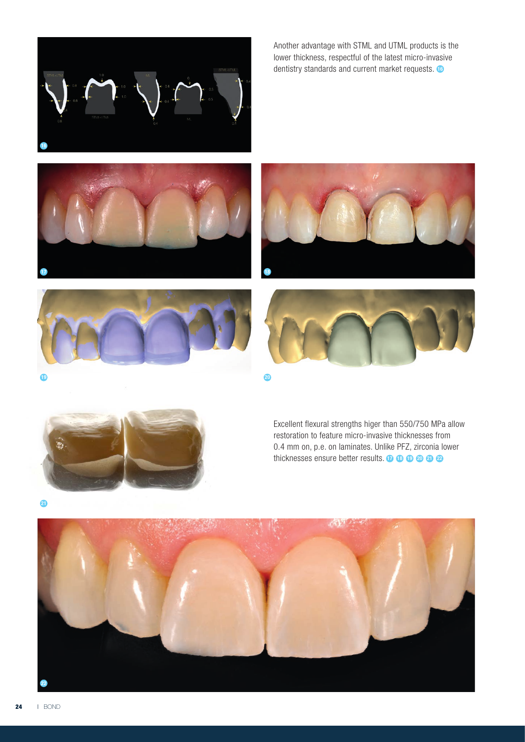

Another advantage with STML and UTML products is the lower thickness, respectful of the latest micro-invasive dentistry standards and current market requests.  $\bullet$ 











Excellent flexural strengths higer than 550/750 MPa allow restoration to feature micro-invasive thicknesses from 0.4 mm on, p.e. on laminates. Unlike PFZ, zirconia lower thicknesses ensure better results.  $\mathbf{0} \oplus \mathbf{0} \oplus \mathbf{0}$ 



0